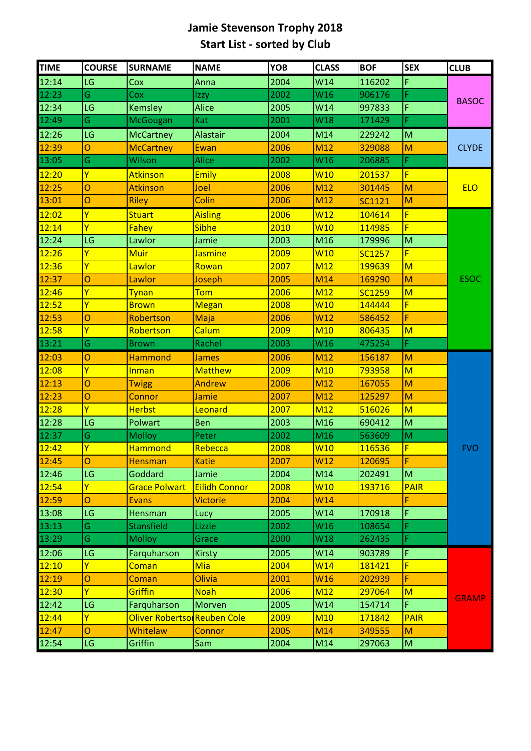## **Jamie Stevenson Trophy 2018 Start List - sorted by Club**

| <b>TIME</b> | <b>COURSE</b>  | <b>SURNAME</b>              | <b>NAME</b>          | <b>YOB</b> | <b>CLASS</b>    | <b>BOF</b>    | <b>SEX</b>              | <b>CLUB</b>  |
|-------------|----------------|-----------------------------|----------------------|------------|-----------------|---------------|-------------------------|--------------|
| 12:14       | LG             | Cox                         | Anna                 | 2004       | W14             | 116202        | F                       | <b>BASOC</b> |
| 12:23       | Ġ              | Cox                         | Izzy                 | 2002       | W16             | 906176        | F                       |              |
| 12:34       | LG             | Kemsley                     | <b>Alice</b>         | 2005       | W14             | 997833        | F                       |              |
| 12:49       | Ġ              | <b>McGougan</b>             | Kat                  | 2001       | W18             | 171429        | F                       |              |
| 12:26       | LG             | <b>McCartney</b>            | <b>Alastair</b>      | 2004       | M14             | 229242        | M                       | <b>CLYDE</b> |
| 12:39       | Ō              | <b>McCartney</b>            | Ewan                 | 2006       | M12             | 329088        | M                       |              |
| 13:05       | Ġ              | Wilson                      | <b>Alice</b>         | 2002       | W16             | 206885        | F                       |              |
| 12:20       | Ÿ              | <b>Atkinson</b>             | <b>Emily</b>         | 2008       | <b>W10</b>      | 201537        | F                       |              |
| 12:25       | $\overline{O}$ | <b>Atkinson</b>             | Joel                 | 2006       | M12             | 301445        | M                       | <b>ELO</b>   |
| 13:01       | Ō              | <b>Riley</b>                | Colin                | 2006       | M12             | <b>SC1121</b> | M                       |              |
| 12:02       | Ÿ              | <b>Stuart</b>               | <b>Aisling</b>       | 2006       | W <sub>12</sub> | 104614        | F                       |              |
| 12:14       | Ÿ              | Fahey                       | <b>Sibhe</b>         | 2010       | <b>W10</b>      | 114985        | F                       |              |
| 12:24       | LG             | Lawlor                      | Jamie                | 2003       | M16             | 179996        | M                       |              |
| 12:26       | Ÿ              | <b>Muir</b>                 | <b>Jasmine</b>       | 2009       | <b>W10</b>      | <b>SC1257</b> | F                       |              |
| 12:36       | Ÿ              | Lawlor                      | Rowan                | 2007       | M <sub>12</sub> | 199639        | $\overline{\mathsf{M}}$ |              |
| 12:37       | $\overline{O}$ | Lawlor                      | Joseph               | 2005       | M14             | 169290        | M                       | <b>ESOC</b>  |
| 12:46       | Ÿ              | <b>Tynan</b>                | <b>Tom</b>           | 2006       | M <sub>12</sub> | <b>SC1259</b> | $\overline{\mathsf{M}}$ |              |
| 12:52       | Ÿ              | <b>Brown</b>                | <b>Megan</b>         | 2008       | W <sub>10</sub> | 144444        | F                       |              |
| 12:53       | $\overline{O}$ | Robertson                   | Maja                 | 2006       | W12             | 586452        | F                       |              |
| 12:58       | Ÿ              | Robertson                   | Calum                | 2009       | <b>M10</b>      | 806435        | $\overline{\mathsf{M}}$ |              |
| 13:21       | Ġ              | <b>Brown</b>                | Rachel               | 2003       | W16             | 475254        | F                       |              |
| 12:03       | $\overline{O}$ | <b>Hammond</b>              | <b>James</b>         | 2006       | M12             | 156187        | M                       | <b>FVO</b>   |
| 12:08       | Ÿ              | <b>Inman</b>                | <b>Matthew</b>       | 2009       | M <sub>10</sub> | 793958        | M                       |              |
| 12:13       | Ō              | <b>Twigg</b>                | <b>Andrew</b>        | 2006       | M12             | 167055        | M                       |              |
| 12:23       | Ō              | Connor                      | Jamie                | 2007       | M12             | 125297        | M                       |              |
| 12:28       | Ÿ              | <b>Herbst</b>               | Leonard              | 2007       | M <sub>12</sub> | 516026        | $\overline{\mathsf{M}}$ |              |
| 12:28       | LG             | Polwart                     | <b>Ben</b>           | 2003       | M <sub>16</sub> | 690412        | M                       |              |
| 12:37       | Ġ              | <b>Molloy</b>               | Peter                | 2002       | M16             | 563609        | M                       |              |
| 12:42       | Ÿ              | Hammond                     | Rebecca              | 2008       | <b>W10</b>      | 116536        | F                       |              |
| 12:45       | O              | <b>Hensman</b>              | Katie                | 2007       | W12             | 120695        | F                       |              |
| 12:46       | LG             | Goddard                     | Jamie                | 2004       | M14             | 202491        | M                       |              |
| 12:54       | Ÿ              | <b>Grace Polwart</b>        | <b>Eilidh Connor</b> | 2008       | <b>W10</b>      | 193716        | <b>PAIR</b>             |              |
| 12:59       | Ō              | <b>Evans</b>                | <b>Victorie</b>      | 2004       | W14             |               | F                       |              |
| 13:08       | LG             | Hensman                     | Lucy                 | 2005       | W14             | 170918        | F                       |              |
| 13:13       | Ġ              | <b>Stansfield</b>           | Lizzie               | 2002       | W16             | 108654        | F.                      |              |
| 13:29       | Ġ              | <b>Molloy</b>               | Grace                | 2000       | W18             | 262435        | F                       |              |
| 12:06       | LG             | Farquharson                 | <b>Kirsty</b>        | 2005       | W14             | 903789        | F                       | <b>GRAMP</b> |
| 12:10       | Ÿ              | Coman                       | <b>Mia</b>           | 2004       | W <sub>14</sub> | 181421        | F                       |              |
| 12:19       | O              | Coman                       | <b>Olivia</b>        | 2001       | <b>W16</b>      | 202939        | F                       |              |
| 12:30       | Ÿ              | Griffin                     | <b>Noah</b>          | 2006       | <b>M12</b>      | 297064        | $\overline{\mathsf{M}}$ |              |
| 12:42       | LG             | Farquharson                 | Morven               | 2005       | W14             | 154714        | F                       |              |
| 12:44       | Ÿ              | Oliver Robertso Reuben Cole |                      | 2009       | <b>M10</b>      | 171842        | <b>PAIR</b>             |              |
| 12:47       | Ō              | Whitelaw                    | Connor               | 2005       | M14             | 349555        | M                       |              |
| 12:54       | LG             | Griffin                     | Sam                  | 2004       | M14             | 297063        | M                       |              |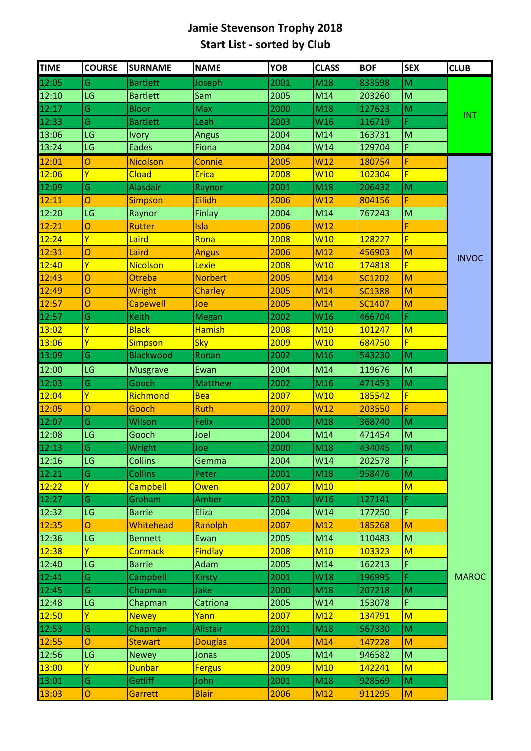## **Jamie Stevenson Trophy 2018 Start List - sorted by Club**

| 12:05<br>Ġ<br>2001<br>M18<br>833598<br><b>Bartlett</b><br>Joseph<br>M<br>12:10<br>LG<br>2005<br>M14<br>M<br><b>Bartlett</b><br>203260<br>Sam<br>12:17<br>Ġ<br>2000<br><b>Bloor</b><br>Max<br>M18<br>127623<br>M<br><b>INT</b><br>12:33<br>Ġ<br>2003<br><b>Bartlett</b><br>Leah<br>W16<br>116719<br>F<br>13:06<br>LG<br>2004<br>M14<br>${\sf M}$<br>163731<br><b>Ivory</b><br><b>Angus</b><br>13:24<br>F<br>LG<br><b>Eades</b><br>2004<br>Fiona<br>W14<br>129704<br>12:01<br>2005<br>W <sub>12</sub><br>Ō<br><b>Nicolson</b><br>180754<br>F<br>Connie<br>Ÿ<br>2008<br>F<br>12:06<br>Cload<br><b>Erica</b><br>W10<br>102304<br>Ġ<br>12:09<br><b>Alasdair</b><br>2001<br>M<br>M18<br>Raynor<br>206432<br>Ō<br>F<br>12:11<br>Eilidh<br>2006<br>W12<br>804156<br><b>Simpson</b><br>12:20<br>LG<br>2004<br>M14<br>M<br>Finlay<br>Raynor<br>767243<br>12:21<br>O<br>2006<br>W12<br>F<br><b>Rutter</b><br><b>Isla</b><br>12:24<br>Ÿ<br>F<br>Laird<br>2008<br>W10<br>Rona<br>128227<br>12:31<br>2006<br>O<br>Laird<br>M12<br>456903<br>M<br><b>Angus</b><br><b>INVOC</b><br>Ÿ<br>F<br>12:40<br><b>Nicolson</b><br>Lexie<br>2008<br>W10<br>174818<br>Ō<br>2005<br>M<br>12:43<br>Otreba<br><b>Norbert</b><br>M <sub>14</sub><br>SC1202<br>12:49<br>Ō<br>2005<br><b>Wright</b><br>Charley<br>M14<br>M<br><b>SC1388</b><br>12:57<br>2005<br>M<br>Ō<br>M14<br><b>SC1407</b><br><b>Capewell</b><br>Joe<br>12:57<br>Ġ<br>Keith<br>2002<br>W16<br>466704<br>F<br>Megan<br>Ÿ<br><b>Black</b><br>13:02<br><b>Hamish</b><br>2008<br><b>M10</b><br>M<br>101247<br>Ÿ<br>13:06<br>2009<br>W <sub>10</sub><br>F<br><b>Sky</b><br>684750<br><b>Simpson</b><br>Ġ<br>13:09<br><b>Blackwood</b><br>2002<br>Ronan<br>M16<br>543230<br>M<br>12:00<br>2004<br>M14<br>LG<br>119676<br>${\sf M}$<br><b>Musgrave</b><br>Ewan<br>12:03<br>Ġ<br>Gooch<br>2002<br>M16<br>471453<br>M<br><b>Matthew</b><br>Ÿ<br>F<br>12:04<br>Richmond<br>2007<br>W <sub>10</sub><br><b>Bea</b><br>185542<br>12:05<br>Ō<br>Gooch<br>2007<br>F<br><b>Ruth</b><br>W12<br>203550<br>12:07<br>Ġ<br>Wilson<br>2000<br>M18<br>M<br>Felix<br>368740<br>12:08<br>LG<br>Gooch<br>Joel<br>2004<br>M14<br>471454<br>${\sf M}$<br>12:13<br>Ġ<br>2000<br>M18<br>M<br>434045<br>Wright<br>Joe<br>12:16<br>LG<br>F<br>Gemma<br>W14<br><b>Collins</b><br>2004<br>202578<br>12:21<br>Ġ<br>2001<br>M<br><b>Collins</b><br>M18<br>958476<br>Peter<br>12:22<br>Ÿ<br>2007<br><b>Campbell</b><br><b>M10</b><br>M<br><b>Owen</b><br>12:27<br>Ġ<br>2003<br>W16<br>127141<br>F.<br>Graham<br>Amber<br>12:32<br>F<br>LG<br>2004<br>Eliza<br>W14<br>177250<br><b>Barrie</b><br>12:35<br>Whitehead<br>Ranolph<br>2007<br>185268<br>M<br>O<br>M12<br>LG<br>12:36<br>2005<br>M<br><b>Bennett</b><br>M14<br>110483<br>Ewan<br>Ÿ<br>12:38<br>2008<br><b>Cormack</b><br><b>Findlay</b><br><b>M10</b><br>M<br>103323<br>12:40<br>LG<br>Adam<br>2005<br>M14<br>F.<br><b>Barrie</b><br>162213<br>12:41<br>Ġ<br>Campbell<br>2001<br>W18<br>F<br><b>MAROC</b><br><b>Kirsty</b><br>196995<br>12:45<br>Ġ<br>Jake<br>2000<br>Chapman<br>M18<br>207218<br>M<br>F<br>12:48<br>LG<br>2005<br>W14<br>153078<br>Chapman<br>Catriona<br>Ÿ<br>12:50<br>2007<br><b>M12</b><br>M<br><b>Newey</b><br>Yann<br>134791<br>12:53<br>Ġ<br><b>Alistair</b><br>2001<br>M18<br>M<br>Chapman<br>567330<br>12:55<br>Ō<br>2004<br>M<br><b>Stewart</b><br><b>Douglas</b><br>M14<br>147228<br>12:56<br>LG<br>2005<br>M14<br>946582<br>M<br><b>Newey</b><br>Jonas | <b>TIME</b> | <b>COURSE</b> | <b>SURNAME</b> | <b>NAME</b>   | <b>YOB</b> | <b>CLASS</b> | <b>BOF</b> | <b>SEX</b> | <b>CLUB</b> |
|--------------------------------------------------------------------------------------------------------------------------------------------------------------------------------------------------------------------------------------------------------------------------------------------------------------------------------------------------------------------------------------------------------------------------------------------------------------------------------------------------------------------------------------------------------------------------------------------------------------------------------------------------------------------------------------------------------------------------------------------------------------------------------------------------------------------------------------------------------------------------------------------------------------------------------------------------------------------------------------------------------------------------------------------------------------------------------------------------------------------------------------------------------------------------------------------------------------------------------------------------------------------------------------------------------------------------------------------------------------------------------------------------------------------------------------------------------------------------------------------------------------------------------------------------------------------------------------------------------------------------------------------------------------------------------------------------------------------------------------------------------------------------------------------------------------------------------------------------------------------------------------------------------------------------------------------------------------------------------------------------------------------------------------------------------------------------------------------------------------------------------------------------------------------------------------------------------------------------------------------------------------------------------------------------------------------------------------------------------------------------------------------------------------------------------------------------------------------------------------------------------------------------------------------------------------------------------------------------------------------------------------------------------------------------------------------------------------------------------------------------------------------------------------------------------------------------------------------------------------------------------------------------------------------------------------------------------------------------------------------------------------------------------------------------------------------------------------------------------------------------------------------------------------------------------------------------------------------------------------------------------------------------------------------------------------------------------------------------------------------------------------------------------------------------------------------|-------------|---------------|----------------|---------------|------------|--------------|------------|------------|-------------|
|                                                                                                                                                                                                                                                                                                                                                                                                                                                                                                                                                                                                                                                                                                                                                                                                                                                                                                                                                                                                                                                                                                                                                                                                                                                                                                                                                                                                                                                                                                                                                                                                                                                                                                                                                                                                                                                                                                                                                                                                                                                                                                                                                                                                                                                                                                                                                                                                                                                                                                                                                                                                                                                                                                                                                                                                                                                                                                                                                                                                                                                                                                                                                                                                                                                                                                                                                                                                                                            |             |               |                |               |            |              |            |            |             |
|                                                                                                                                                                                                                                                                                                                                                                                                                                                                                                                                                                                                                                                                                                                                                                                                                                                                                                                                                                                                                                                                                                                                                                                                                                                                                                                                                                                                                                                                                                                                                                                                                                                                                                                                                                                                                                                                                                                                                                                                                                                                                                                                                                                                                                                                                                                                                                                                                                                                                                                                                                                                                                                                                                                                                                                                                                                                                                                                                                                                                                                                                                                                                                                                                                                                                                                                                                                                                                            |             |               |                |               |            |              |            |            |             |
|                                                                                                                                                                                                                                                                                                                                                                                                                                                                                                                                                                                                                                                                                                                                                                                                                                                                                                                                                                                                                                                                                                                                                                                                                                                                                                                                                                                                                                                                                                                                                                                                                                                                                                                                                                                                                                                                                                                                                                                                                                                                                                                                                                                                                                                                                                                                                                                                                                                                                                                                                                                                                                                                                                                                                                                                                                                                                                                                                                                                                                                                                                                                                                                                                                                                                                                                                                                                                                            |             |               |                |               |            |              |            |            |             |
|                                                                                                                                                                                                                                                                                                                                                                                                                                                                                                                                                                                                                                                                                                                                                                                                                                                                                                                                                                                                                                                                                                                                                                                                                                                                                                                                                                                                                                                                                                                                                                                                                                                                                                                                                                                                                                                                                                                                                                                                                                                                                                                                                                                                                                                                                                                                                                                                                                                                                                                                                                                                                                                                                                                                                                                                                                                                                                                                                                                                                                                                                                                                                                                                                                                                                                                                                                                                                                            |             |               |                |               |            |              |            |            |             |
|                                                                                                                                                                                                                                                                                                                                                                                                                                                                                                                                                                                                                                                                                                                                                                                                                                                                                                                                                                                                                                                                                                                                                                                                                                                                                                                                                                                                                                                                                                                                                                                                                                                                                                                                                                                                                                                                                                                                                                                                                                                                                                                                                                                                                                                                                                                                                                                                                                                                                                                                                                                                                                                                                                                                                                                                                                                                                                                                                                                                                                                                                                                                                                                                                                                                                                                                                                                                                                            |             |               |                |               |            |              |            |            |             |
|                                                                                                                                                                                                                                                                                                                                                                                                                                                                                                                                                                                                                                                                                                                                                                                                                                                                                                                                                                                                                                                                                                                                                                                                                                                                                                                                                                                                                                                                                                                                                                                                                                                                                                                                                                                                                                                                                                                                                                                                                                                                                                                                                                                                                                                                                                                                                                                                                                                                                                                                                                                                                                                                                                                                                                                                                                                                                                                                                                                                                                                                                                                                                                                                                                                                                                                                                                                                                                            |             |               |                |               |            |              |            |            |             |
|                                                                                                                                                                                                                                                                                                                                                                                                                                                                                                                                                                                                                                                                                                                                                                                                                                                                                                                                                                                                                                                                                                                                                                                                                                                                                                                                                                                                                                                                                                                                                                                                                                                                                                                                                                                                                                                                                                                                                                                                                                                                                                                                                                                                                                                                                                                                                                                                                                                                                                                                                                                                                                                                                                                                                                                                                                                                                                                                                                                                                                                                                                                                                                                                                                                                                                                                                                                                                                            |             |               |                |               |            |              |            |            |             |
|                                                                                                                                                                                                                                                                                                                                                                                                                                                                                                                                                                                                                                                                                                                                                                                                                                                                                                                                                                                                                                                                                                                                                                                                                                                                                                                                                                                                                                                                                                                                                                                                                                                                                                                                                                                                                                                                                                                                                                                                                                                                                                                                                                                                                                                                                                                                                                                                                                                                                                                                                                                                                                                                                                                                                                                                                                                                                                                                                                                                                                                                                                                                                                                                                                                                                                                                                                                                                                            |             |               |                |               |            |              |            |            |             |
|                                                                                                                                                                                                                                                                                                                                                                                                                                                                                                                                                                                                                                                                                                                                                                                                                                                                                                                                                                                                                                                                                                                                                                                                                                                                                                                                                                                                                                                                                                                                                                                                                                                                                                                                                                                                                                                                                                                                                                                                                                                                                                                                                                                                                                                                                                                                                                                                                                                                                                                                                                                                                                                                                                                                                                                                                                                                                                                                                                                                                                                                                                                                                                                                                                                                                                                                                                                                                                            |             |               |                |               |            |              |            |            |             |
|                                                                                                                                                                                                                                                                                                                                                                                                                                                                                                                                                                                                                                                                                                                                                                                                                                                                                                                                                                                                                                                                                                                                                                                                                                                                                                                                                                                                                                                                                                                                                                                                                                                                                                                                                                                                                                                                                                                                                                                                                                                                                                                                                                                                                                                                                                                                                                                                                                                                                                                                                                                                                                                                                                                                                                                                                                                                                                                                                                                                                                                                                                                                                                                                                                                                                                                                                                                                                                            |             |               |                |               |            |              |            |            |             |
|                                                                                                                                                                                                                                                                                                                                                                                                                                                                                                                                                                                                                                                                                                                                                                                                                                                                                                                                                                                                                                                                                                                                                                                                                                                                                                                                                                                                                                                                                                                                                                                                                                                                                                                                                                                                                                                                                                                                                                                                                                                                                                                                                                                                                                                                                                                                                                                                                                                                                                                                                                                                                                                                                                                                                                                                                                                                                                                                                                                                                                                                                                                                                                                                                                                                                                                                                                                                                                            |             |               |                |               |            |              |            |            |             |
|                                                                                                                                                                                                                                                                                                                                                                                                                                                                                                                                                                                                                                                                                                                                                                                                                                                                                                                                                                                                                                                                                                                                                                                                                                                                                                                                                                                                                                                                                                                                                                                                                                                                                                                                                                                                                                                                                                                                                                                                                                                                                                                                                                                                                                                                                                                                                                                                                                                                                                                                                                                                                                                                                                                                                                                                                                                                                                                                                                                                                                                                                                                                                                                                                                                                                                                                                                                                                                            |             |               |                |               |            |              |            |            |             |
|                                                                                                                                                                                                                                                                                                                                                                                                                                                                                                                                                                                                                                                                                                                                                                                                                                                                                                                                                                                                                                                                                                                                                                                                                                                                                                                                                                                                                                                                                                                                                                                                                                                                                                                                                                                                                                                                                                                                                                                                                                                                                                                                                                                                                                                                                                                                                                                                                                                                                                                                                                                                                                                                                                                                                                                                                                                                                                                                                                                                                                                                                                                                                                                                                                                                                                                                                                                                                                            |             |               |                |               |            |              |            |            |             |
|                                                                                                                                                                                                                                                                                                                                                                                                                                                                                                                                                                                                                                                                                                                                                                                                                                                                                                                                                                                                                                                                                                                                                                                                                                                                                                                                                                                                                                                                                                                                                                                                                                                                                                                                                                                                                                                                                                                                                                                                                                                                                                                                                                                                                                                                                                                                                                                                                                                                                                                                                                                                                                                                                                                                                                                                                                                                                                                                                                                                                                                                                                                                                                                                                                                                                                                                                                                                                                            |             |               |                |               |            |              |            |            |             |
|                                                                                                                                                                                                                                                                                                                                                                                                                                                                                                                                                                                                                                                                                                                                                                                                                                                                                                                                                                                                                                                                                                                                                                                                                                                                                                                                                                                                                                                                                                                                                                                                                                                                                                                                                                                                                                                                                                                                                                                                                                                                                                                                                                                                                                                                                                                                                                                                                                                                                                                                                                                                                                                                                                                                                                                                                                                                                                                                                                                                                                                                                                                                                                                                                                                                                                                                                                                                                                            |             |               |                |               |            |              |            |            |             |
|                                                                                                                                                                                                                                                                                                                                                                                                                                                                                                                                                                                                                                                                                                                                                                                                                                                                                                                                                                                                                                                                                                                                                                                                                                                                                                                                                                                                                                                                                                                                                                                                                                                                                                                                                                                                                                                                                                                                                                                                                                                                                                                                                                                                                                                                                                                                                                                                                                                                                                                                                                                                                                                                                                                                                                                                                                                                                                                                                                                                                                                                                                                                                                                                                                                                                                                                                                                                                                            |             |               |                |               |            |              |            |            |             |
|                                                                                                                                                                                                                                                                                                                                                                                                                                                                                                                                                                                                                                                                                                                                                                                                                                                                                                                                                                                                                                                                                                                                                                                                                                                                                                                                                                                                                                                                                                                                                                                                                                                                                                                                                                                                                                                                                                                                                                                                                                                                                                                                                                                                                                                                                                                                                                                                                                                                                                                                                                                                                                                                                                                                                                                                                                                                                                                                                                                                                                                                                                                                                                                                                                                                                                                                                                                                                                            |             |               |                |               |            |              |            |            |             |
|                                                                                                                                                                                                                                                                                                                                                                                                                                                                                                                                                                                                                                                                                                                                                                                                                                                                                                                                                                                                                                                                                                                                                                                                                                                                                                                                                                                                                                                                                                                                                                                                                                                                                                                                                                                                                                                                                                                                                                                                                                                                                                                                                                                                                                                                                                                                                                                                                                                                                                                                                                                                                                                                                                                                                                                                                                                                                                                                                                                                                                                                                                                                                                                                                                                                                                                                                                                                                                            |             |               |                |               |            |              |            |            |             |
|                                                                                                                                                                                                                                                                                                                                                                                                                                                                                                                                                                                                                                                                                                                                                                                                                                                                                                                                                                                                                                                                                                                                                                                                                                                                                                                                                                                                                                                                                                                                                                                                                                                                                                                                                                                                                                                                                                                                                                                                                                                                                                                                                                                                                                                                                                                                                                                                                                                                                                                                                                                                                                                                                                                                                                                                                                                                                                                                                                                                                                                                                                                                                                                                                                                                                                                                                                                                                                            |             |               |                |               |            |              |            |            |             |
|                                                                                                                                                                                                                                                                                                                                                                                                                                                                                                                                                                                                                                                                                                                                                                                                                                                                                                                                                                                                                                                                                                                                                                                                                                                                                                                                                                                                                                                                                                                                                                                                                                                                                                                                                                                                                                                                                                                                                                                                                                                                                                                                                                                                                                                                                                                                                                                                                                                                                                                                                                                                                                                                                                                                                                                                                                                                                                                                                                                                                                                                                                                                                                                                                                                                                                                                                                                                                                            |             |               |                |               |            |              |            |            |             |
|                                                                                                                                                                                                                                                                                                                                                                                                                                                                                                                                                                                                                                                                                                                                                                                                                                                                                                                                                                                                                                                                                                                                                                                                                                                                                                                                                                                                                                                                                                                                                                                                                                                                                                                                                                                                                                                                                                                                                                                                                                                                                                                                                                                                                                                                                                                                                                                                                                                                                                                                                                                                                                                                                                                                                                                                                                                                                                                                                                                                                                                                                                                                                                                                                                                                                                                                                                                                                                            |             |               |                |               |            |              |            |            |             |
|                                                                                                                                                                                                                                                                                                                                                                                                                                                                                                                                                                                                                                                                                                                                                                                                                                                                                                                                                                                                                                                                                                                                                                                                                                                                                                                                                                                                                                                                                                                                                                                                                                                                                                                                                                                                                                                                                                                                                                                                                                                                                                                                                                                                                                                                                                                                                                                                                                                                                                                                                                                                                                                                                                                                                                                                                                                                                                                                                                                                                                                                                                                                                                                                                                                                                                                                                                                                                                            |             |               |                |               |            |              |            |            |             |
|                                                                                                                                                                                                                                                                                                                                                                                                                                                                                                                                                                                                                                                                                                                                                                                                                                                                                                                                                                                                                                                                                                                                                                                                                                                                                                                                                                                                                                                                                                                                                                                                                                                                                                                                                                                                                                                                                                                                                                                                                                                                                                                                                                                                                                                                                                                                                                                                                                                                                                                                                                                                                                                                                                                                                                                                                                                                                                                                                                                                                                                                                                                                                                                                                                                                                                                                                                                                                                            |             |               |                |               |            |              |            |            |             |
|                                                                                                                                                                                                                                                                                                                                                                                                                                                                                                                                                                                                                                                                                                                                                                                                                                                                                                                                                                                                                                                                                                                                                                                                                                                                                                                                                                                                                                                                                                                                                                                                                                                                                                                                                                                                                                                                                                                                                                                                                                                                                                                                                                                                                                                                                                                                                                                                                                                                                                                                                                                                                                                                                                                                                                                                                                                                                                                                                                                                                                                                                                                                                                                                                                                                                                                                                                                                                                            |             |               |                |               |            |              |            |            |             |
|                                                                                                                                                                                                                                                                                                                                                                                                                                                                                                                                                                                                                                                                                                                                                                                                                                                                                                                                                                                                                                                                                                                                                                                                                                                                                                                                                                                                                                                                                                                                                                                                                                                                                                                                                                                                                                                                                                                                                                                                                                                                                                                                                                                                                                                                                                                                                                                                                                                                                                                                                                                                                                                                                                                                                                                                                                                                                                                                                                                                                                                                                                                                                                                                                                                                                                                                                                                                                                            |             |               |                |               |            |              |            |            |             |
|                                                                                                                                                                                                                                                                                                                                                                                                                                                                                                                                                                                                                                                                                                                                                                                                                                                                                                                                                                                                                                                                                                                                                                                                                                                                                                                                                                                                                                                                                                                                                                                                                                                                                                                                                                                                                                                                                                                                                                                                                                                                                                                                                                                                                                                                                                                                                                                                                                                                                                                                                                                                                                                                                                                                                                                                                                                                                                                                                                                                                                                                                                                                                                                                                                                                                                                                                                                                                                            |             |               |                |               |            |              |            |            |             |
|                                                                                                                                                                                                                                                                                                                                                                                                                                                                                                                                                                                                                                                                                                                                                                                                                                                                                                                                                                                                                                                                                                                                                                                                                                                                                                                                                                                                                                                                                                                                                                                                                                                                                                                                                                                                                                                                                                                                                                                                                                                                                                                                                                                                                                                                                                                                                                                                                                                                                                                                                                                                                                                                                                                                                                                                                                                                                                                                                                                                                                                                                                                                                                                                                                                                                                                                                                                                                                            |             |               |                |               |            |              |            |            |             |
|                                                                                                                                                                                                                                                                                                                                                                                                                                                                                                                                                                                                                                                                                                                                                                                                                                                                                                                                                                                                                                                                                                                                                                                                                                                                                                                                                                                                                                                                                                                                                                                                                                                                                                                                                                                                                                                                                                                                                                                                                                                                                                                                                                                                                                                                                                                                                                                                                                                                                                                                                                                                                                                                                                                                                                                                                                                                                                                                                                                                                                                                                                                                                                                                                                                                                                                                                                                                                                            |             |               |                |               |            |              |            |            |             |
|                                                                                                                                                                                                                                                                                                                                                                                                                                                                                                                                                                                                                                                                                                                                                                                                                                                                                                                                                                                                                                                                                                                                                                                                                                                                                                                                                                                                                                                                                                                                                                                                                                                                                                                                                                                                                                                                                                                                                                                                                                                                                                                                                                                                                                                                                                                                                                                                                                                                                                                                                                                                                                                                                                                                                                                                                                                                                                                                                                                                                                                                                                                                                                                                                                                                                                                                                                                                                                            |             |               |                |               |            |              |            |            |             |
|                                                                                                                                                                                                                                                                                                                                                                                                                                                                                                                                                                                                                                                                                                                                                                                                                                                                                                                                                                                                                                                                                                                                                                                                                                                                                                                                                                                                                                                                                                                                                                                                                                                                                                                                                                                                                                                                                                                                                                                                                                                                                                                                                                                                                                                                                                                                                                                                                                                                                                                                                                                                                                                                                                                                                                                                                                                                                                                                                                                                                                                                                                                                                                                                                                                                                                                                                                                                                                            |             |               |                |               |            |              |            |            |             |
|                                                                                                                                                                                                                                                                                                                                                                                                                                                                                                                                                                                                                                                                                                                                                                                                                                                                                                                                                                                                                                                                                                                                                                                                                                                                                                                                                                                                                                                                                                                                                                                                                                                                                                                                                                                                                                                                                                                                                                                                                                                                                                                                                                                                                                                                                                                                                                                                                                                                                                                                                                                                                                                                                                                                                                                                                                                                                                                                                                                                                                                                                                                                                                                                                                                                                                                                                                                                                                            |             |               |                |               |            |              |            |            |             |
|                                                                                                                                                                                                                                                                                                                                                                                                                                                                                                                                                                                                                                                                                                                                                                                                                                                                                                                                                                                                                                                                                                                                                                                                                                                                                                                                                                                                                                                                                                                                                                                                                                                                                                                                                                                                                                                                                                                                                                                                                                                                                                                                                                                                                                                                                                                                                                                                                                                                                                                                                                                                                                                                                                                                                                                                                                                                                                                                                                                                                                                                                                                                                                                                                                                                                                                                                                                                                                            |             |               |                |               |            |              |            |            |             |
|                                                                                                                                                                                                                                                                                                                                                                                                                                                                                                                                                                                                                                                                                                                                                                                                                                                                                                                                                                                                                                                                                                                                                                                                                                                                                                                                                                                                                                                                                                                                                                                                                                                                                                                                                                                                                                                                                                                                                                                                                                                                                                                                                                                                                                                                                                                                                                                                                                                                                                                                                                                                                                                                                                                                                                                                                                                                                                                                                                                                                                                                                                                                                                                                                                                                                                                                                                                                                                            |             |               |                |               |            |              |            |            |             |
|                                                                                                                                                                                                                                                                                                                                                                                                                                                                                                                                                                                                                                                                                                                                                                                                                                                                                                                                                                                                                                                                                                                                                                                                                                                                                                                                                                                                                                                                                                                                                                                                                                                                                                                                                                                                                                                                                                                                                                                                                                                                                                                                                                                                                                                                                                                                                                                                                                                                                                                                                                                                                                                                                                                                                                                                                                                                                                                                                                                                                                                                                                                                                                                                                                                                                                                                                                                                                                            |             |               |                |               |            |              |            |            |             |
|                                                                                                                                                                                                                                                                                                                                                                                                                                                                                                                                                                                                                                                                                                                                                                                                                                                                                                                                                                                                                                                                                                                                                                                                                                                                                                                                                                                                                                                                                                                                                                                                                                                                                                                                                                                                                                                                                                                                                                                                                                                                                                                                                                                                                                                                                                                                                                                                                                                                                                                                                                                                                                                                                                                                                                                                                                                                                                                                                                                                                                                                                                                                                                                                                                                                                                                                                                                                                                            |             |               |                |               |            |              |            |            |             |
|                                                                                                                                                                                                                                                                                                                                                                                                                                                                                                                                                                                                                                                                                                                                                                                                                                                                                                                                                                                                                                                                                                                                                                                                                                                                                                                                                                                                                                                                                                                                                                                                                                                                                                                                                                                                                                                                                                                                                                                                                                                                                                                                                                                                                                                                                                                                                                                                                                                                                                                                                                                                                                                                                                                                                                                                                                                                                                                                                                                                                                                                                                                                                                                                                                                                                                                                                                                                                                            |             |               |                |               |            |              |            |            |             |
|                                                                                                                                                                                                                                                                                                                                                                                                                                                                                                                                                                                                                                                                                                                                                                                                                                                                                                                                                                                                                                                                                                                                                                                                                                                                                                                                                                                                                                                                                                                                                                                                                                                                                                                                                                                                                                                                                                                                                                                                                                                                                                                                                                                                                                                                                                                                                                                                                                                                                                                                                                                                                                                                                                                                                                                                                                                                                                                                                                                                                                                                                                                                                                                                                                                                                                                                                                                                                                            |             |               |                |               |            |              |            |            |             |
|                                                                                                                                                                                                                                                                                                                                                                                                                                                                                                                                                                                                                                                                                                                                                                                                                                                                                                                                                                                                                                                                                                                                                                                                                                                                                                                                                                                                                                                                                                                                                                                                                                                                                                                                                                                                                                                                                                                                                                                                                                                                                                                                                                                                                                                                                                                                                                                                                                                                                                                                                                                                                                                                                                                                                                                                                                                                                                                                                                                                                                                                                                                                                                                                                                                                                                                                                                                                                                            |             |               |                |               |            |              |            |            |             |
|                                                                                                                                                                                                                                                                                                                                                                                                                                                                                                                                                                                                                                                                                                                                                                                                                                                                                                                                                                                                                                                                                                                                                                                                                                                                                                                                                                                                                                                                                                                                                                                                                                                                                                                                                                                                                                                                                                                                                                                                                                                                                                                                                                                                                                                                                                                                                                                                                                                                                                                                                                                                                                                                                                                                                                                                                                                                                                                                                                                                                                                                                                                                                                                                                                                                                                                                                                                                                                            |             |               |                |               |            |              |            |            |             |
|                                                                                                                                                                                                                                                                                                                                                                                                                                                                                                                                                                                                                                                                                                                                                                                                                                                                                                                                                                                                                                                                                                                                                                                                                                                                                                                                                                                                                                                                                                                                                                                                                                                                                                                                                                                                                                                                                                                                                                                                                                                                                                                                                                                                                                                                                                                                                                                                                                                                                                                                                                                                                                                                                                                                                                                                                                                                                                                                                                                                                                                                                                                                                                                                                                                                                                                                                                                                                                            |             |               |                |               |            |              |            |            |             |
|                                                                                                                                                                                                                                                                                                                                                                                                                                                                                                                                                                                                                                                                                                                                                                                                                                                                                                                                                                                                                                                                                                                                                                                                                                                                                                                                                                                                                                                                                                                                                                                                                                                                                                                                                                                                                                                                                                                                                                                                                                                                                                                                                                                                                                                                                                                                                                                                                                                                                                                                                                                                                                                                                                                                                                                                                                                                                                                                                                                                                                                                                                                                                                                                                                                                                                                                                                                                                                            |             |               |                |               |            |              |            |            |             |
|                                                                                                                                                                                                                                                                                                                                                                                                                                                                                                                                                                                                                                                                                                                                                                                                                                                                                                                                                                                                                                                                                                                                                                                                                                                                                                                                                                                                                                                                                                                                                                                                                                                                                                                                                                                                                                                                                                                                                                                                                                                                                                                                                                                                                                                                                                                                                                                                                                                                                                                                                                                                                                                                                                                                                                                                                                                                                                                                                                                                                                                                                                                                                                                                                                                                                                                                                                                                                                            |             |               |                |               |            |              |            |            |             |
|                                                                                                                                                                                                                                                                                                                                                                                                                                                                                                                                                                                                                                                                                                                                                                                                                                                                                                                                                                                                                                                                                                                                                                                                                                                                                                                                                                                                                                                                                                                                                                                                                                                                                                                                                                                                                                                                                                                                                                                                                                                                                                                                                                                                                                                                                                                                                                                                                                                                                                                                                                                                                                                                                                                                                                                                                                                                                                                                                                                                                                                                                                                                                                                                                                                                                                                                                                                                                                            |             |               |                |               |            |              |            |            |             |
|                                                                                                                                                                                                                                                                                                                                                                                                                                                                                                                                                                                                                                                                                                                                                                                                                                                                                                                                                                                                                                                                                                                                                                                                                                                                                                                                                                                                                                                                                                                                                                                                                                                                                                                                                                                                                                                                                                                                                                                                                                                                                                                                                                                                                                                                                                                                                                                                                                                                                                                                                                                                                                                                                                                                                                                                                                                                                                                                                                                                                                                                                                                                                                                                                                                                                                                                                                                                                                            |             |               |                |               |            |              |            |            |             |
|                                                                                                                                                                                                                                                                                                                                                                                                                                                                                                                                                                                                                                                                                                                                                                                                                                                                                                                                                                                                                                                                                                                                                                                                                                                                                                                                                                                                                                                                                                                                                                                                                                                                                                                                                                                                                                                                                                                                                                                                                                                                                                                                                                                                                                                                                                                                                                                                                                                                                                                                                                                                                                                                                                                                                                                                                                                                                                                                                                                                                                                                                                                                                                                                                                                                                                                                                                                                                                            |             |               |                |               |            |              |            |            |             |
|                                                                                                                                                                                                                                                                                                                                                                                                                                                                                                                                                                                                                                                                                                                                                                                                                                                                                                                                                                                                                                                                                                                                                                                                                                                                                                                                                                                                                                                                                                                                                                                                                                                                                                                                                                                                                                                                                                                                                                                                                                                                                                                                                                                                                                                                                                                                                                                                                                                                                                                                                                                                                                                                                                                                                                                                                                                                                                                                                                                                                                                                                                                                                                                                                                                                                                                                                                                                                                            | 13:00       | Ÿ             | <b>Dunbar</b>  | <b>Fergus</b> | 2009       | <b>M10</b>   | 142241     | M          |             |
| Ġ<br>13:01<br><b>Getliff</b><br>John<br>2001<br>M18<br>928569<br>M                                                                                                                                                                                                                                                                                                                                                                                                                                                                                                                                                                                                                                                                                                                                                                                                                                                                                                                                                                                                                                                                                                                                                                                                                                                                                                                                                                                                                                                                                                                                                                                                                                                                                                                                                                                                                                                                                                                                                                                                                                                                                                                                                                                                                                                                                                                                                                                                                                                                                                                                                                                                                                                                                                                                                                                                                                                                                                                                                                                                                                                                                                                                                                                                                                                                                                                                                                         |             |               |                |               |            |              |            |            |             |
| 13:03<br>2006<br><b>Blair</b><br>M12<br>911295<br>M<br>O<br>Garrett                                                                                                                                                                                                                                                                                                                                                                                                                                                                                                                                                                                                                                                                                                                                                                                                                                                                                                                                                                                                                                                                                                                                                                                                                                                                                                                                                                                                                                                                                                                                                                                                                                                                                                                                                                                                                                                                                                                                                                                                                                                                                                                                                                                                                                                                                                                                                                                                                                                                                                                                                                                                                                                                                                                                                                                                                                                                                                                                                                                                                                                                                                                                                                                                                                                                                                                                                                        |             |               |                |               |            |              |            |            |             |